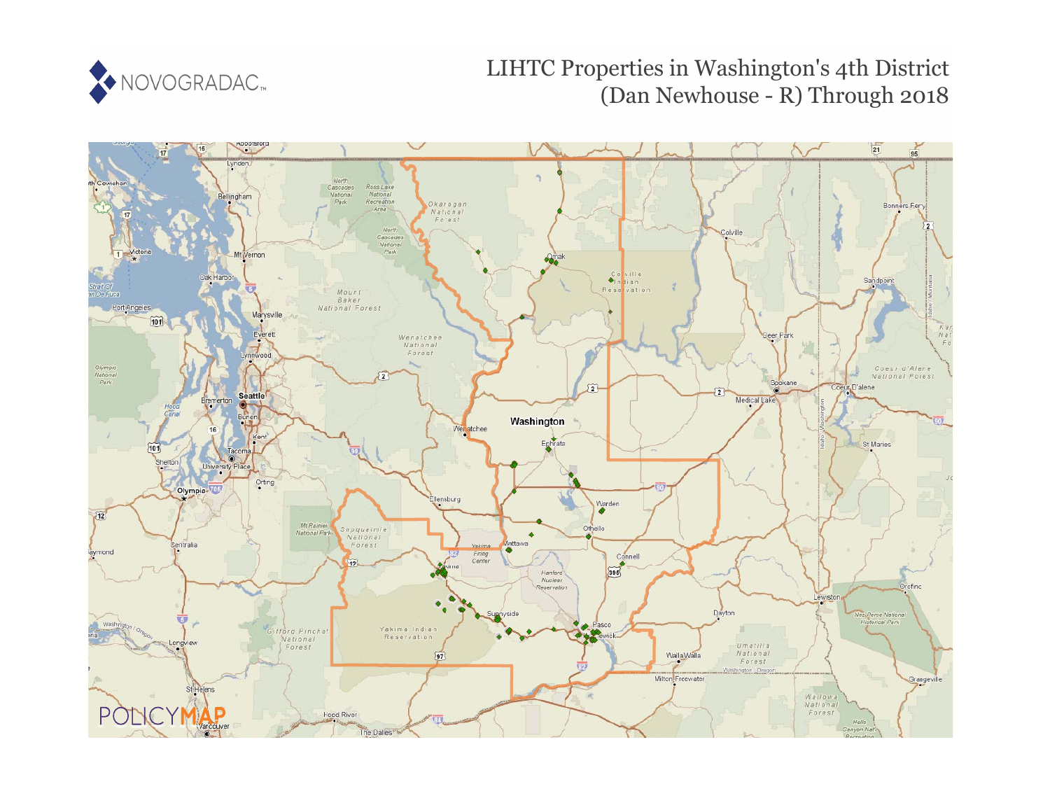

# LIHTC Properties in Washington's 4th District (Dan Newhouse - R) Through 2018

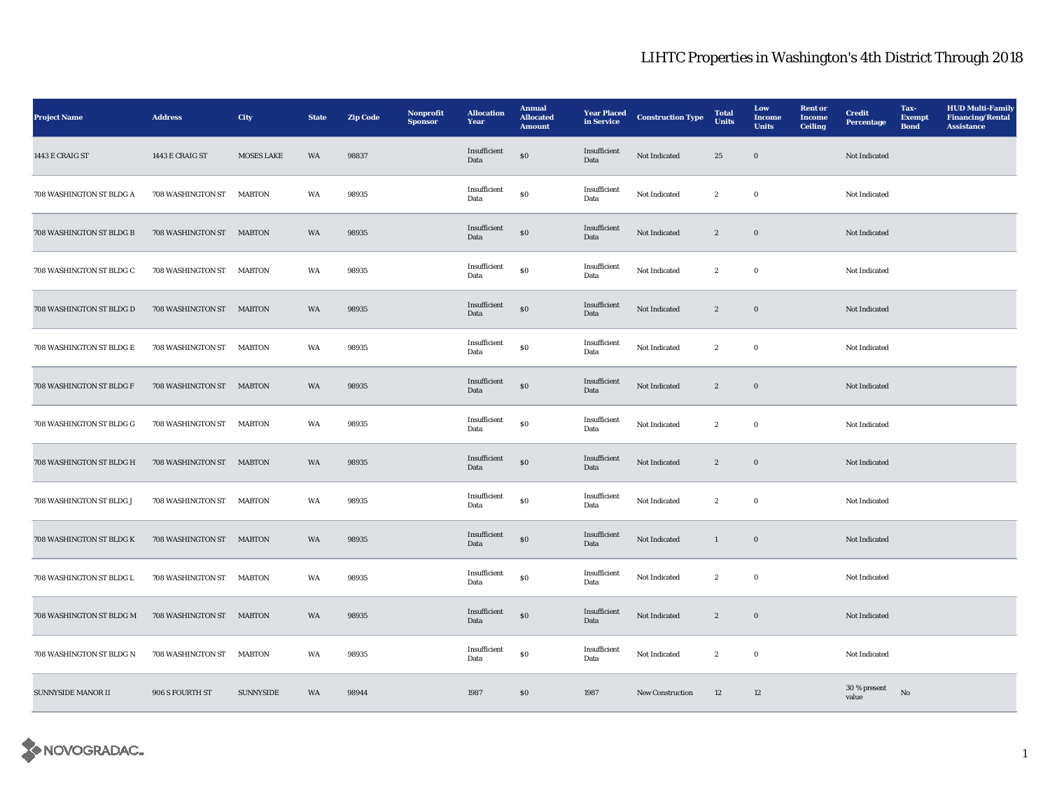| <b>Project Name</b>       | <b>Address</b>           | <b>City</b>       | <b>State</b> | <b>Zip Code</b> | Nonprofit<br><b>Sponsor</b> | <b>Allocation</b><br>Year | <b>Annual</b><br><b>Allocated</b><br><b>Amount</b> | <b>Year Placed</b><br>in Service | <b>Construction Type</b> | <b>Total</b><br><b>Units</b> | Low<br>Income<br><b>Units</b> | <b>Rent or</b><br><b>Income</b><br><b>Ceiling</b> | <b>Credit</b><br><b>Percentage</b> | Tax-<br><b>Exempt</b><br><b>Bond</b> | <b>HUD Multi-Family</b><br><b>Financing/Rental</b><br><b>Assistance</b> |
|---------------------------|--------------------------|-------------------|--------------|-----------------|-----------------------------|---------------------------|----------------------------------------------------|----------------------------------|--------------------------|------------------------------|-------------------------------|---------------------------------------------------|------------------------------------|--------------------------------------|-------------------------------------------------------------------------|
| 1443 E CRAIG ST           | 1443 E CRAIG ST          | <b>MOSES LAKE</b> | WA           | 98837           |                             | Insufficient<br>Data      | $\$0$                                              | Insufficient<br>Data             | Not Indicated            | 25                           | $\bf{0}$                      |                                                   | Not Indicated                      |                                      |                                                                         |
| 708 WASHINGTON ST BLDG A  | 708 WASHINGTON ST        | <b>MABTON</b>     | WA           | 98935           |                             | Insufficient<br>Data      | $\$0$                                              | Insufficient<br>Data             | Not Indicated            | $\boldsymbol{2}$             | $\bf{0}$                      |                                                   | Not Indicated                      |                                      |                                                                         |
| 708 WASHINGTON ST BLDG B  | 708 WASHINGTON ST MABTON |                   | WA           | 98935           |                             | Insufficient<br>Data      | ${\bf S0}$                                         | Insufficient<br>Data             | Not Indicated            | $\mathbf{2}$                 | $\bf{0}$                      |                                                   | Not Indicated                      |                                      |                                                                         |
| 708 WASHINGTON ST BLDG C  | 708 WASHINGTON ST        | MABTON            | WA           | 98935           |                             | Insufficient<br>Data      | $\bf{S0}$                                          | Insufficient<br>Data             | Not Indicated            | $\boldsymbol{2}$             | $\bf{0}$                      |                                                   | Not Indicated                      |                                      |                                                                         |
| 708 WASHINGTON ST BLDG D  | 708 WASHINGTON ST        | <b>MABTON</b>     | WA           | 98935           |                             | Insufficient<br>Data      | $\$0$                                              | Insufficient<br>Data             | Not Indicated            | $\boldsymbol{2}$             | $\mathbf 0$                   |                                                   | Not Indicated                      |                                      |                                                                         |
| 708 WASHINGTON ST BLDG E  | 708 WASHINGTON ST        | <b>MABTON</b>     | WA           | 98935           |                             | Insufficient<br>Data      | $\$0$                                              | Insufficient<br>Data             | Not Indicated            | $\boldsymbol{2}$             | $\bf{0}$                      |                                                   | Not Indicated                      |                                      |                                                                         |
| 708 WASHINGTON ST BLDG F  | 708 WASHINGTON ST MABTON |                   | WA           | 98935           |                             | Insufficient<br>Data      | $\$0$                                              | Insufficient<br>Data             | Not Indicated            | $\mathbf{2}$                 | $\bf{0}$                      |                                                   | Not Indicated                      |                                      |                                                                         |
| 708 WASHINGTON ST BLDG G  | 708 WASHINGTON ST        | <b>MABTON</b>     | WA           | 98935           |                             | Insufficient<br>Data      | $\$0$                                              | Insufficient<br>Data             | Not Indicated            | $\mathbf{2}$                 | $\bf{0}$                      |                                                   | Not Indicated                      |                                      |                                                                         |
| 708 WASHINGTON ST BLDG H  | 708 WASHINGTON ST MABTON |                   | WA           | 98935           |                             | Insufficient<br>Data      | ${\bf S0}$                                         | Insufficient<br>Data             | Not Indicated            | $\boldsymbol{2}$             | $\mathbf 0$                   |                                                   | Not Indicated                      |                                      |                                                                         |
| 708 WASHINGTON ST BLDG J  | 708 WASHINGTON ST MABTON |                   | WA           | 98935           |                             | Insufficient<br>Data      | $\$0$                                              | Insufficient<br>Data             | Not Indicated            | $\mathbf{2}$                 | $\bf{0}$                      |                                                   | Not Indicated                      |                                      |                                                                         |
| 708 WASHINGTON ST BLDG K  | 708 WASHINGTON ST        | <b>MABTON</b>     | WA           | 98935           |                             | Insufficient<br>Data      | $\boldsymbol{\mathsf{S}}\boldsymbol{\mathsf{O}}$   | Insufficient<br>Data             | Not Indicated            | $\mathbf{1}$                 | $\mathbf 0$                   |                                                   | Not Indicated                      |                                      |                                                                         |
| 708 WASHINGTON ST BLDG L  | 708 WASHINGTON ST        | <b>MABTON</b>     | WA           | 98935           |                             | Insufficient<br>Data      | ${\bf S0}$                                         | Insufficient<br>Data             | Not Indicated            | $\mathbf{2}$                 | $\bf{0}$                      |                                                   | Not Indicated                      |                                      |                                                                         |
| 708 WASHINGTON ST BLDG M  | 708 WASHINGTON ST MABTON |                   | WA           | 98935           |                             | Insufficient<br>Data      | ${\bf S0}$                                         | Insufficient<br>Data             | Not Indicated            | $\boldsymbol{2}$             | $\mathbf 0$                   |                                                   | Not Indicated                      |                                      |                                                                         |
| 708 WASHINGTON ST BLDG N  | 708 WASHINGTON ST        | <b>MABTON</b>     | WA           | 98935           |                             | Insufficient<br>Data      | $\$0$                                              | Insufficient<br>Data             | Not Indicated            | $\boldsymbol{2}$             | $\bf{0}$                      |                                                   | Not Indicated                      |                                      |                                                                         |
| <b>SUNNYSIDE MANOR II</b> | 906 S FOURTH ST          | <b>SUNNYSIDE</b>  | WA           | 98944           |                             | 1987                      | S <sub>0</sub>                                     | 1987                             | <b>New Construction</b>  | 12                           | 12                            |                                                   | 30 % present<br>value              | No                                   |                                                                         |

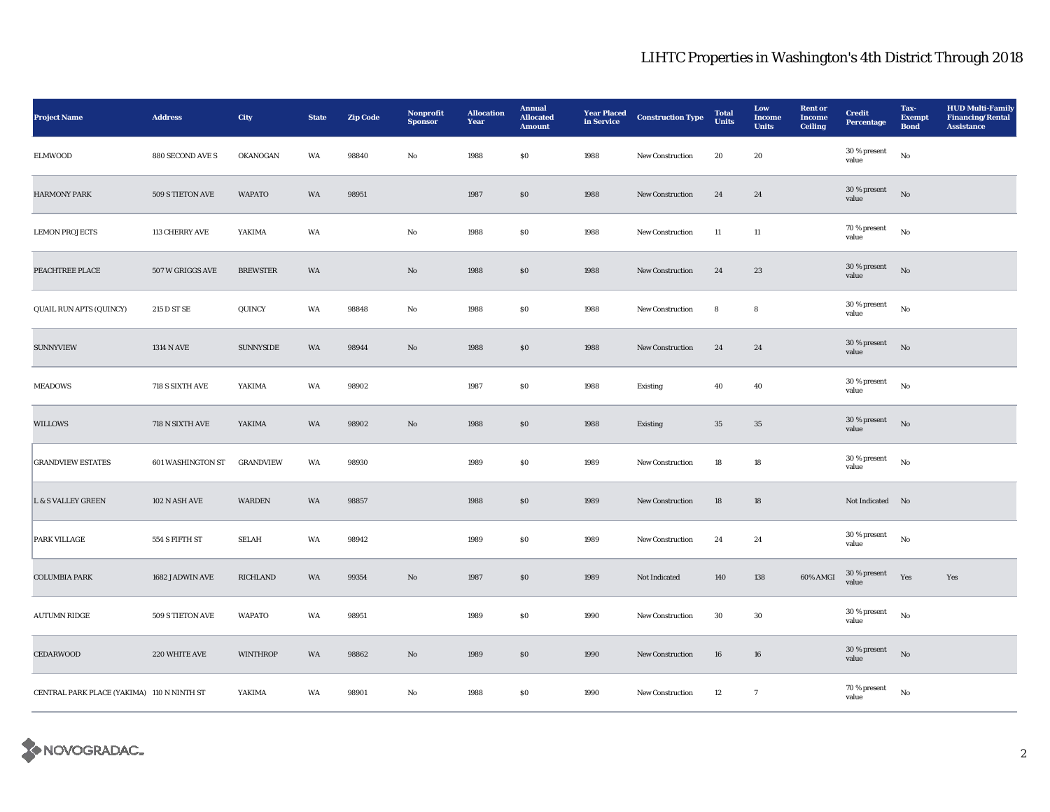| <b>Project Name</b>                        | <b>Address</b>           | City             | <b>State</b> | <b>Zip Code</b> | Nonprofit<br><b>Sponsor</b> | <b>Allocation</b><br>Year | <b>Annual</b><br><b>Allocated</b><br><b>Amount</b> | <b>Year Placed</b><br>in Service | <b>Construction Type</b> | <b>Total</b><br><b>Units</b> | Low<br><b>Income</b><br><b>Units</b> | <b>Rent or</b><br><b>Income</b><br><b>Ceiling</b> | <b>Credit</b><br><b>Percentage</b> | Tax-<br><b>Exempt</b><br><b>Bond</b> | <b>HUD Multi-Family</b><br><b>Financing/Rental</b><br><b>Assistance</b> |
|--------------------------------------------|--------------------------|------------------|--------------|-----------------|-----------------------------|---------------------------|----------------------------------------------------|----------------------------------|--------------------------|------------------------------|--------------------------------------|---------------------------------------------------|------------------------------------|--------------------------------------|-------------------------------------------------------------------------|
| <b>ELMWOOD</b>                             | 880 SECOND AVE S         | OKANOGAN         | WA           | 98840           | No                          | 1988                      | \$0\$                                              | 1988                             | New Construction         | 20                           | 20                                   |                                                   | $30\,\%$ present<br>value          | No                                   |                                                                         |
| <b>HARMONY PARK</b>                        | 509 S TIETON AVE         | <b>WAPATO</b>    | WA           | 98951           |                             | 1987                      | \$0\$                                              | 1988                             | <b>New Construction</b>  | 24                           | 24                                   |                                                   | 30 % present<br>value              | No                                   |                                                                         |
| <b>LEMON PROJECTS</b>                      | 113 CHERRY AVE           | YAKIMA           | WA           |                 | No                          | 1988                      | ${\bf S0}$                                         | 1988                             | <b>New Construction</b>  | 11                           | 11                                   |                                                   | $70\,\%$ present<br>value          | $_{\rm No}$                          |                                                                         |
| PEACHTREE PLACE                            | 507 W GRIGGS AVE         | <b>BREWSTER</b>  | WA           |                 | $\rm No$                    | 1988                      | $\$0$                                              | 1988                             | New Construction         | 24                           | $\bf 23$                             |                                                   | 30 % present<br>value              | $_{\rm No}$                          |                                                                         |
| QUAIL RUN APTS (QUINCY)                    | 215 D ST SE              | QUINCY           | WA           | 98848           | No                          | 1988                      | \$0\$                                              | 1988                             | New Construction         | ${\bf 8}$                    | 8                                    |                                                   | 30 % present<br>value              | $_{\rm No}$                          |                                                                         |
| <b>SUNNYVIEW</b>                           | <b>1314 N AVE</b>        | SUNNYSIDE        | WA           | 98944           | No                          | 1988                      | $\$0$                                              | 1988                             | New Construction         | 24                           | 24                                   |                                                   | $30$ % present<br>value            | $\mathbf{N}\mathbf{o}$               |                                                                         |
| <b>MEADOWS</b>                             | 718 S SIXTH AVE          | YAKIMA           | WA           | 98902           |                             | 1987                      | ${\bf S0}$                                         | 1988                             | Existing                 | 40                           | 40                                   |                                                   | 30 % present<br>value              | No                                   |                                                                         |
| WILLOWS                                    | 718 N SIXTH AVE          | YAKIMA           | WA           | 98902           | $\rm No$                    | 1988                      | $\$0$                                              | 1988                             | Existing                 | $35\,$                       | $35\,$                               |                                                   | 30 % present<br>value              | $_{\rm No}$                          |                                                                         |
| <b>GRANDVIEW ESTATES</b>                   | <b>601 WASHINGTON ST</b> | <b>GRANDVIEW</b> | WA           | 98930           |                             | 1989                      | $\boldsymbol{\mathsf{S}}\boldsymbol{\mathsf{0}}$   | 1989                             | New Construction         | 18                           | ${\bf 18}$                           |                                                   | $30$ % present<br>value            | $_{\rm No}$                          |                                                                         |
| <b>L &amp; S VALLEY GREEN</b>              | 102 N ASH AVE            | <b>WARDEN</b>    | WA           | 98857           |                             | 1988                      | S <sub>0</sub>                                     | 1989                             | New Construction         | 18                           | 18                                   |                                                   | Not Indicated No                   |                                      |                                                                         |
| PARK VILLAGE                               | 554 S FIFTH ST           | <b>SELAH</b>     | WA           | 98942           |                             | 1989                      | $\$0$                                              | 1989                             | New Construction         | 24                           | 24                                   |                                                   | 30 % present<br>value              | $_{\rm No}$                          |                                                                         |
| <b>COLUMBIA PARK</b>                       | 1682 JADWIN AVE          | <b>RICHLAND</b>  | WA           | 99354           | $\rm No$                    | 1987                      | $\$0$                                              | 1989                             | Not Indicated            | 140                          | 138                                  | 60% AMGI                                          | $30$ % present $\,$<br>value       | Yes                                  | Yes                                                                     |
| <b>AUTUMN RIDGE</b>                        | 509 S TIETON AVE         | <b>WAPATO</b>    | WA           | 98951           |                             | 1989                      | \$0\$                                              | 1990                             | <b>New Construction</b>  | $30\,$                       | $30\,$                               |                                                   | $30$ % present<br>value            | No                                   |                                                                         |
| <b>CEDARWOOD</b>                           | 220 WHITE AVE            | <b>WINTHROP</b>  | WA           | 98862           | $\mathbf{No}$               | 1989                      | $\boldsymbol{\mathsf{S}}\boldsymbol{\mathsf{0}}$   | 1990                             | <b>New Construction</b>  | 16                           | ${\bf 16}$                           |                                                   | 30 % present<br>value              | No                                   |                                                                         |
| CENTRAL PARK PLACE (YAKIMA) 110 N NINTH ST |                          | YAKIMA           | WA           | 98901           | No                          | 1988                      | \$0\$                                              | 1990                             | New Construction         | 12                           | $7\phantom{.0}$                      |                                                   | 70 % present<br>value              | $\rm No$                             |                                                                         |

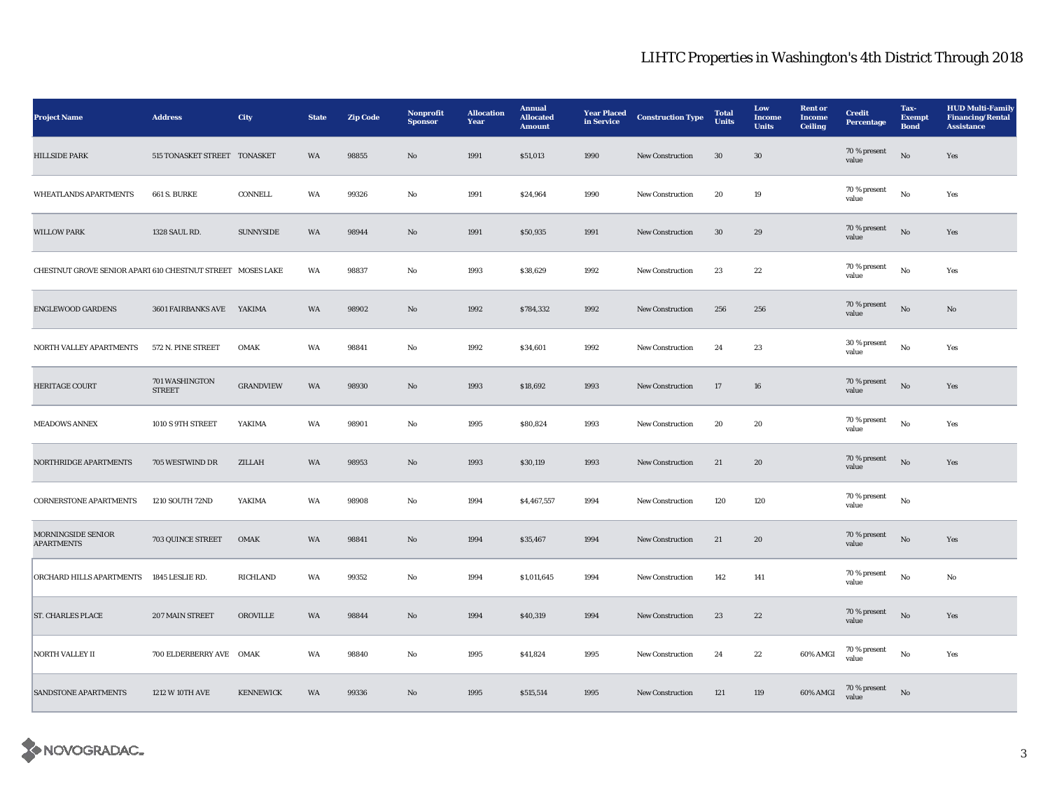| <b>Project Name</b>                                        | <b>Address</b>                  | City             | <b>State</b> | <b>Zip Code</b> | Nonprofit<br><b>Sponsor</b> | <b>Allocation</b><br>Year | <b>Annual</b><br><b>Allocated</b><br><b>Amount</b> | <b>Year Placed</b><br>in Service | <b>Construction Type</b> | <b>Total</b><br><b>Units</b> | Low<br>Income<br><b>Units</b> | <b>Rent or</b><br><b>Income</b><br><b>Ceiling</b> | <b>Credit</b><br><b>Percentage</b> | Tax-<br><b>Exempt</b><br><b>Bond</b> | <b>HUD Multi-Family</b><br><b>Financing/Rental</b><br><b>Assistance</b> |
|------------------------------------------------------------|---------------------------------|------------------|--------------|-----------------|-----------------------------|---------------------------|----------------------------------------------------|----------------------------------|--------------------------|------------------------------|-------------------------------|---------------------------------------------------|------------------------------------|--------------------------------------|-------------------------------------------------------------------------|
| <b>HILLSIDE PARK</b>                                       | 515 TONASKET STREET TONASKET    |                  | WA           | 98855           | $\mathbf{N}\mathbf{o}$      | 1991                      | \$51,013                                           | 1990                             | <b>New Construction</b>  | 30                           | $30\,$                        |                                                   | $70\,\%$ present<br>value          | $\rm No$                             | Yes                                                                     |
| WHEATLANDS APARTMENTS                                      | <b>661 S. BURKE</b>             | CONNELL          | WA           | 99326           | No                          | 1991                      | \$24,964                                           | 1990                             | New Construction         | 20                           | 19                            |                                                   | 70 % present<br>value              | $\rm No$                             | Yes                                                                     |
| <b>WILLOW PARK</b>                                         | 1328 SAUL RD.                   | SUNNYSIDE        | WA           | 98944           | $\mathbf{N}\mathbf{o}$      | 1991                      | \$50,935                                           | 1991                             | <b>New Construction</b>  | 30                           | 29                            |                                                   | 70 % present<br>value              | $\mathbf{N}\mathbf{o}$               | Yes                                                                     |
| CHESTNUT GROVE SENIOR APART 610 CHESTNUT STREET MOSES LAKE |                                 |                  | WA           | 98837           | No                          | 1993                      | \$38,629                                           | 1992                             | New Construction         | 23                           | 22                            |                                                   | 70 % present<br>value              | No                                   | Yes                                                                     |
| <b>ENGLEWOOD GARDENS</b>                                   | 3601 FAIRBANKS AVE              | YAKIMA           | WA           | 98902           | $\mathbf{N}\mathbf{o}$      | 1992                      | \$784,332                                          | 1992                             | New Construction         | 256                          | 256                           |                                                   | 70 % present<br>value              | $_{\rm No}$                          | No                                                                      |
| NORTH VALLEY APARTMENTS                                    | 572 N. PINE STREET              | $OMAK$           | WA           | 98841           | $\rm No$                    | 1992                      | \$34,601                                           | 1992                             | New Construction         | 24                           | $\bf 23$                      |                                                   | 30 % present<br>value              | $\rm\thinspace No$                   | Yes                                                                     |
| HERITAGE COURT                                             | 701 WASHINGTON<br><b>STREET</b> | <b>GRANDVIEW</b> | WA           | 98930           | $\mathbf{N}\mathbf{o}$      | 1993                      | \$18,692                                           | 1993                             | New Construction         | $17\,$                       | 16                            |                                                   | 70 % present<br>value              | $\rm No$                             | Yes                                                                     |
| <b>MEADOWS ANNEX</b>                                       | 1010 S 9TH STREET               | YAKIMA           | WA           | 98901           | No                          | 1995                      | \$80,824                                           | 1993                             | <b>New Construction</b>  | 20                           | 20                            |                                                   | 70 % present<br>value              | $\rm No$                             | Yes                                                                     |
| NORTHRIDGE APARTMENTS                                      | 705 WESTWIND DR                 | ZILLAH           | WA           | 98953           | $\mathbf{N}\mathbf{o}$      | 1993                      | \$30,119                                           | 1993                             | <b>New Construction</b>  | 21                           | 20                            |                                                   | $70\,\%$ present<br>value          | $\mathbf{N}\mathbf{o}$               | Yes                                                                     |
| <b>CORNERSTONE APARTMENTS</b>                              | 1210 SOUTH 72ND                 | YAKIMA           | WA           | 98908           | No                          | 1994                      | \$4,467,557                                        | 1994                             | New Construction         | 120                          | 120                           |                                                   | 70 % present<br>value              | $\rm No$                             |                                                                         |
| MORNINGSIDE SENIOR<br><b>APARTMENTS</b>                    | 703 QUINCE STREET               | <b>OMAK</b>      | WA           | 98841           | $\mathbf{N}\mathbf{o}$      | 1994                      | \$35,467                                           | 1994                             | New Construction         | 21                           | 20                            |                                                   | 70 % present<br>value              | $\rm No$                             | Yes                                                                     |
| ORCHARD HILLS APARTMENTS                                   | 1845 LESLIE RD.                 | <b>RICHLAND</b>  | WA           | 99352           | No                          | 1994                      | \$1,011,645                                        | 1994                             | New Construction         | 142                          | 141                           |                                                   | 70 % present<br>value              | $\rm No$                             | No                                                                      |
| <b>ST. CHARLES PLACE</b>                                   | 207 MAIN STREET                 | <b>OROVILLE</b>  | WA           | 98844           | $\mathbf{N}\mathbf{o}$      | 1994                      | \$40,319                                           | 1994                             | New Construction         | 23                           | 22                            |                                                   | 70 % present<br>value              | No                                   | Yes                                                                     |
| <b>NORTH VALLEY II</b>                                     | 700 ELDERBERRY AVE OMAK         |                  | WA           | 98840           | No                          | 1995                      | \$41,824                                           | 1995                             | <b>New Construction</b>  | 24                           | $22\,$                        | 60% AMGI                                          | 70 % present<br>value              | No                                   | Yes                                                                     |
| <b>SANDSTONE APARTMENTS</b>                                | 1212 W 10TH AVE                 | <b>KENNEWICK</b> | WA           | 99336           | No                          | 1995                      | \$515,514                                          | 1995                             | <b>New Construction</b>  | 121                          | 119                           | 60% AMGI                                          | 70 % present<br>value              | $\mathbf{N}\mathbf{o}$               |                                                                         |

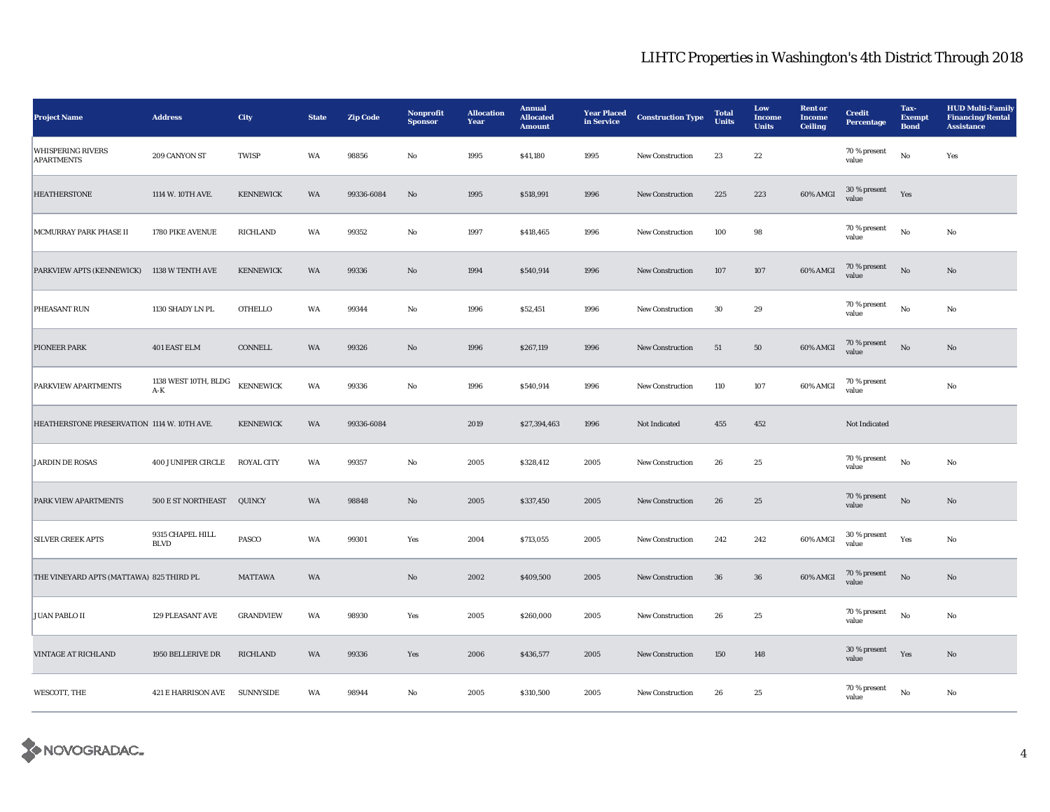| <b>Project Name</b>                           | <b>Address</b>                  | City              | <b>State</b> | <b>Zip Code</b> | Nonprofit<br><b>Sponsor</b> | <b>Allocation</b><br>Year | <b>Annual</b><br><b>Allocated</b><br><b>Amount</b> | <b>Year Placed</b><br>in Service | <b>Construction Type</b> | <b>Total</b><br>Units | Low<br>Income<br><b>Units</b> | <b>Rent or</b><br><b>Income</b><br><b>Ceiling</b> | <b>Credit</b><br><b>Percentage</b> | Tax-<br><b>Exempt</b><br><b>Bond</b> | <b>HUD Multi-Family</b><br><b>Financing/Rental</b><br><b>Assistance</b> |
|-----------------------------------------------|---------------------------------|-------------------|--------------|-----------------|-----------------------------|---------------------------|----------------------------------------------------|----------------------------------|--------------------------|-----------------------|-------------------------------|---------------------------------------------------|------------------------------------|--------------------------------------|-------------------------------------------------------------------------|
| <b>WHISPERING RIVERS</b><br><b>APARTMENTS</b> | 209 CANYON ST                   | <b>TWISP</b>      | WA           | 98856           | No                          | 1995                      | \$41,180                                           | 1995                             | New Construction         | 23                    | 22                            |                                                   | 70 % present<br>value              | No                                   | Yes                                                                     |
| <b>HEATHERSTONE</b>                           | 1114 W. 10TH AVE.               | <b>KENNEWICK</b>  | WA           | 99336-6084      | No                          | 1995                      | \$518,991                                          | 1996                             | <b>New Construction</b>  | 225                   | 223                           | 60% AMGI                                          | 30 % present<br>value              | Yes                                  |                                                                         |
| MCMURRAY PARK PHASE II                        | 1780 PIKE AVENUE                | RICHLAND          | WA           | 99352           | No                          | 1997                      | \$418,465                                          | 1996                             | New Construction         | 100                   | 98                            |                                                   | 70 % present<br>value              | No                                   | No                                                                      |
| PARKVIEW APTS (KENNEWICK)                     | 1138 W TENTH AVE                | <b>KENNEWICK</b>  | WA           | 99336           | $\mathbf{No}$               | 1994                      | \$540,914                                          | 1996                             | New Construction         | 107                   | $107\,$                       | 60% AMGI                                          | 70 % present<br>value              | $\rm \bf No$                         | $\mathbf{N}\mathbf{o}$                                                  |
| PHEASANT RUN                                  | 1130 SHADY LN PL                | <b>OTHELLO</b>    | WA           | 99344           | No                          | 1996                      | \$52,451                                           | 1996                             | <b>New Construction</b>  | 30                    | 29                            |                                                   | 70 % present<br>value              | No                                   | No                                                                      |
| PIONEER PARK                                  | 401 EAST ELM                    | CONNELL           | WA           | 99326           | $\mathbf{N}\mathbf{o}$      | 1996                      | \$267,119                                          | 1996                             | New Construction         | 51                    | 50                            | 60% AMGI                                          | $70$ % present<br>value            | No                                   | $\mathbf{N}\mathbf{o}$                                                  |
| PARKVIEW APARTMENTS                           | 1138 WEST 10TH, BLDG<br>$A-K$   | <b>KENNEWICK</b>  | WA           | 99336           | No                          | 1996                      | \$540,914                                          | 1996                             | <b>New Construction</b>  | 110                   | 107                           | 60% AMGI                                          | 70 % present<br>value              |                                      | No                                                                      |
| HEATHERSTONE PRESERVATION 1114 W. 10TH AVE.   |                                 | <b>KENNEWICK</b>  | WA           | 99336-6084      |                             | 2019                      | \$27,394,463                                       | 1996                             | Not Indicated            | 455                   | $\bf 452$                     |                                                   | Not Indicated                      |                                      |                                                                         |
| <b>JARDIN DE ROSAS</b>                        | <b>400 JUNIPER CIRCLE</b>       | <b>ROYAL CITY</b> | WA           | 99357           | No                          | 2005                      | \$328,412                                          | 2005                             | New Construction         | 26                    | 25                            |                                                   | 70 % present<br>value              | No                                   | No                                                                      |
| PARK VIEW APARTMENTS                          | 500 E ST NORTHEAST              | QUINCY            | WA           | 98848           | No                          | 2005                      | \$337,450                                          | 2005                             | <b>New Construction</b>  | 26                    | 25                            |                                                   | $70\,\%$ present<br>value          | $\mathbf{N}\mathbf{o}$               | No                                                                      |
| <b>SILVER CREEK APTS</b>                      | 9315 CHAPEL HILL<br><b>BLVD</b> | <b>PASCO</b>      | WA           | 99301           | Yes                         | 2004                      | \$713,055                                          | 2005                             | <b>New Construction</b>  | 242                   | 242                           | 60% AMGI                                          | 30 % present<br>value              | Yes                                  | No                                                                      |
| THE VINEYARD APTS (MATTAWA) 825 THIRD PL      |                                 | <b>MATTAWA</b>    | WA           |                 | $\rm \bf No$                | 2002                      | \$409,500                                          | 2005                             | New Construction         | ${\bf 36}$            | ${\bf 36}$                    | 60% AMGI                                          | $70\,\%$ present<br>value          | $\rm No$                             | $\mathbf{No}$                                                           |
| <b>JUAN PABLO II</b>                          | <b>129 PLEASANT AVE</b>         | <b>GRANDVIEW</b>  | WA           | 98930           | Yes                         | 2005                      | \$260,000                                          | 2005                             | New Construction         | 26                    | 25                            |                                                   | 70 % present<br>value              | $_{\rm No}$                          | No                                                                      |
| <b>VINTAGE AT RICHLAND</b>                    | 1950 BELLERIVE DR               | <b>RICHLAND</b>   | WA           | 99336           | Yes                         | 2006                      | \$436,577                                          | 2005                             | <b>New Construction</b>  | 150                   | 148                           |                                                   | 30 % present<br>value              | Yes                                  | $\mathbf{N}\mathbf{o}$                                                  |
| WESCOTT, THE                                  | 421 E HARRISON AVE SUNNYSIDE    |                   | WA           | 98944           | No                          | 2005                      | \$310,500                                          | 2005                             | <b>New Construction</b>  | 26                    | 25                            |                                                   | 70 % present<br>value              | No                                   | No                                                                      |

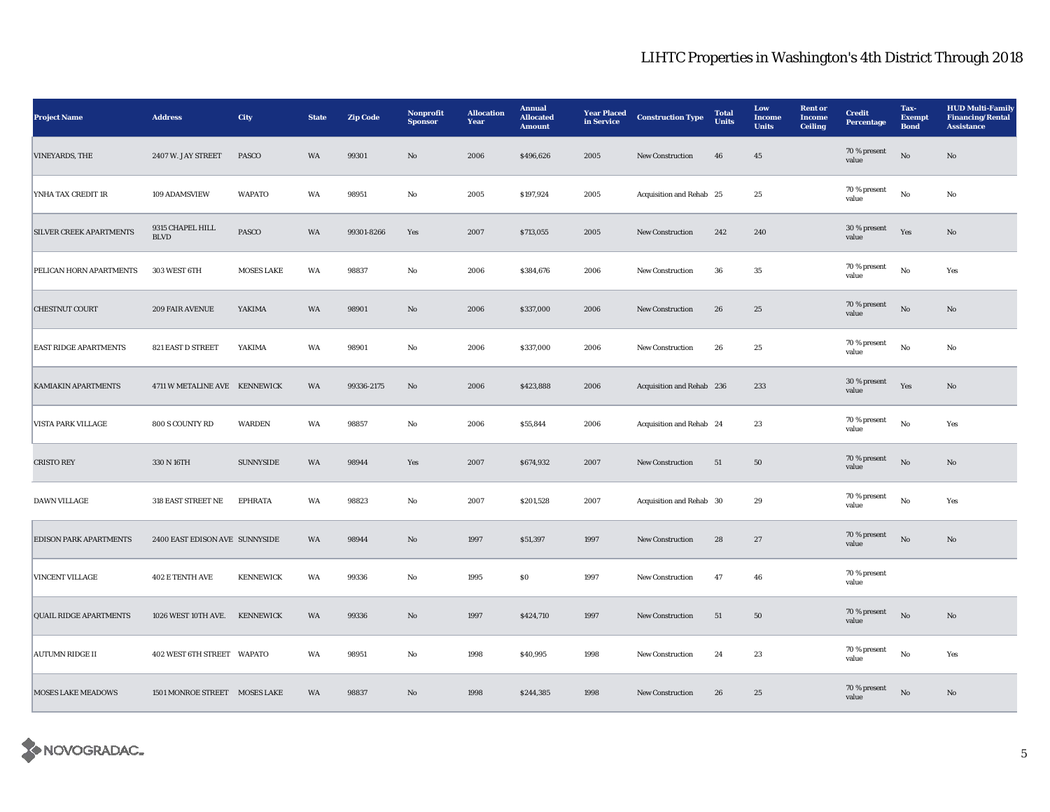| <b>Project Name</b>            | <b>Address</b>                  | City              | <b>State</b> | <b>Zip Code</b> | Nonprofit<br><b>Sponsor</b> | <b>Allocation</b><br>Year | <b>Annual</b><br><b>Allocated</b><br><b>Amount</b> | <b>Year Placed</b><br>in Service | <b>Construction Type</b>  | <b>Total</b><br>Units | Low<br>Income<br><b>Units</b> | <b>Rent or</b><br><b>Income</b><br><b>Ceiling</b> | <b>Credit</b><br><b>Percentage</b> | Tax-<br><b>Exempt</b><br><b>Bond</b> | <b>HUD Multi-Family</b><br><b>Financing/Rental</b><br><b>Assistance</b> |
|--------------------------------|---------------------------------|-------------------|--------------|-----------------|-----------------------------|---------------------------|----------------------------------------------------|----------------------------------|---------------------------|-----------------------|-------------------------------|---------------------------------------------------|------------------------------------|--------------------------------------|-------------------------------------------------------------------------|
| <b>VINEYARDS, THE</b>          | 2407 W. JAY STREET              | <b>PASCO</b>      | <b>WA</b>    | 99301           | No                          | 2006                      | \$496,626                                          | 2005                             | <b>New Construction</b>   | 46                    | $45\,$                        |                                                   | 70 % present<br>value              | $\rm No$                             | No                                                                      |
| YNHA TAX CREDIT 1R             | 109 ADAMSVIEW                   | <b>WAPATO</b>     | WA           | 98951           | No                          | 2005                      | \$197,924                                          | 2005                             | Acquisition and Rehab 25  |                       | 25                            |                                                   | 70 % present<br>value              | No                                   | No                                                                      |
| <b>SILVER CREEK APARTMENTS</b> | 9315 CHAPEL HILL<br><b>BLVD</b> | <b>PASCO</b>      | WA           | 99301-8266      | Yes                         | 2007                      | \$713,055                                          | 2005                             | <b>New Construction</b>   | 242                   | 240                           |                                                   | 30 % present<br>value              | Yes                                  | No                                                                      |
| PELICAN HORN APARTMENTS        | 303 WEST 6TH                    | <b>MOSES LAKE</b> | WA           | 98837           | No                          | 2006                      | \$384,676                                          | 2006                             | <b>New Construction</b>   | 36                    | 35                            |                                                   | 70 % present<br>value              | $_{\rm No}$                          | Yes                                                                     |
| <b>CHESTNUT COURT</b>          | 209 FAIR AVENUE                 | YAKIMA            | WA           | 98901           | $\mathbf{N}\mathbf{o}$      | 2006                      | \$337,000                                          | 2006                             | New Construction          | ${\bf 26}$            | $25\,$                        |                                                   | $70\,\%$ present<br>value          | $\rm No$                             | No                                                                      |
| <b>EAST RIDGE APARTMENTS</b>   | 821 EAST D STREET               | YAKIMA            | WA           | 98901           | No                          | 2006                      | \$337,000                                          | 2006                             | <b>New Construction</b>   | 26                    | $25\,$                        |                                                   | 70 % present<br>value              | $_{\rm No}$                          | No                                                                      |
| <b>KAMIAKIN APARTMENTS</b>     | 4711 W METALINE AVE KENNEWICK   |                   | WA           | 99336-2175      | $\mathbf{N}\mathbf{o}$      | 2006                      | \$423,888                                          | 2006                             | Acquisition and Rehab 236 |                       | 233                           |                                                   | 30 % present<br>value              | Yes                                  | $\mathbf{N}\mathbf{o}$                                                  |
| <b>VISTA PARK VILLAGE</b>      | 800 S COUNTY RD                 | <b>WARDEN</b>     | WA           | 98857           | No                          | 2006                      | \$55,844                                           | 2006                             | Acquisition and Rehab 24  |                       | 23                            |                                                   | 70 % present<br>value              | No                                   | Yes                                                                     |
| <b>CRISTO REY</b>              | 330 N 16TH                      | <b>SUNNYSIDE</b>  | WA           | 98944           | Yes                         | 2007                      | \$674,932                                          | 2007                             | <b>New Construction</b>   | 51                    | 50                            |                                                   | 70 % present<br>value              | $\rm No$                             | No                                                                      |
| <b>DAWN VILLAGE</b>            | 318 EAST STREET NE              | <b>EPHRATA</b>    | WA           | 98823           | No                          | 2007                      | \$201,528                                          | 2007                             | Acquisition and Rehab 30  |                       | 29                            |                                                   | 70 % present<br>value              | $_{\rm No}$                          | Yes                                                                     |
| <b>EDISON PARK APARTMENTS</b>  | 2400 EAST EDISON AVE SUNNYSIDE  |                   | WA           | 98944           | $\rm\thinspace No$          | 1997                      | \$51,397                                           | 1997                             | New Construction          | ${\bf 28}$            | $\sqrt{27}$                   |                                                   | 70 % present<br>value              | $\rm No$                             | $\mathbf{No}$                                                           |
| VINCENT VILLAGE                | <b>402 E TENTH AVE</b>          | <b>KENNEWICK</b>  | WA           | 99336           | No                          | 1995                      | S <sub>0</sub>                                     | 1997                             | <b>New Construction</b>   | 47                    | 46                            |                                                   | 70 % present<br>value              |                                      |                                                                         |
| <b>QUAIL RIDGE APARTMENTS</b>  | 1026 WEST 10TH AVE.             | <b>KENNEWICK</b>  | <b>WA</b>    | 99336           | No                          | 1997                      | \$424,710                                          | 1997                             | <b>New Construction</b>   | 51                    | 50                            |                                                   | 70 % present<br>value              | No                                   | No                                                                      |
| <b>AUTUMN RIDGE II</b>         | 402 WEST 6TH STREET WAPATO      |                   | WA           | 98951           | No                          | 1998                      | \$40,995                                           | 1998                             | <b>New Construction</b>   | 24                    | 23                            |                                                   | 70 % present<br>value              | No                                   | Yes                                                                     |
| <b>MOSES LAKE MEADOWS</b>      | 1501 MONROE STREET MOSES LAKE   |                   | WA           | 98837           | No                          | 1998                      | \$244,385                                          | 1998                             | <b>New Construction</b>   | 26                    | 25                            |                                                   | 70 % present<br>value              | No                                   | No                                                                      |

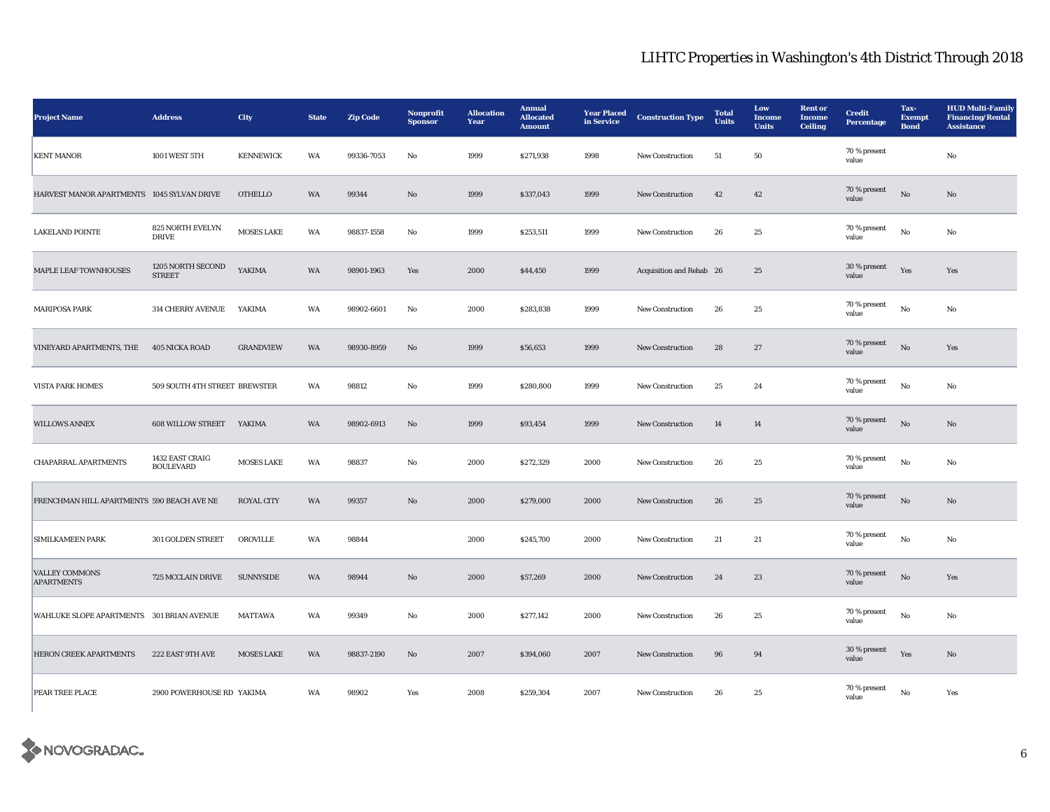| <b>Project Name</b>                        | <b>Address</b>                      | City              | <b>State</b> | <b>Zip Code</b> | Nonprofit<br><b>Sponsor</b> | <b>Allocation</b><br>Year | <b>Annual</b><br><b>Allocated</b><br><b>Amount</b> | <b>Year Placed</b><br>in Service | <b>Construction Type</b> | <b>Total</b><br><b>Units</b> | Low<br><b>Income</b><br><b>Units</b> | <b>Rent or</b><br><b>Income</b><br>Ceiling | <b>Credit</b><br>Percentage | Tax-<br><b>Exempt</b><br><b>Bond</b> | <b>HUD Multi-Family</b><br><b>Financing/Rental</b><br><b>Assistance</b> |
|--------------------------------------------|-------------------------------------|-------------------|--------------|-----------------|-----------------------------|---------------------------|----------------------------------------------------|----------------------------------|--------------------------|------------------------------|--------------------------------------|--------------------------------------------|-----------------------------|--------------------------------------|-------------------------------------------------------------------------|
| <b>KENT MANOR</b>                          | 1001 WEST 5TH                       | <b>KENNEWICK</b>  | WA           | 99336-7053      | No                          | 1999                      | \$271,938                                          | 1998                             | New Construction         | 51                           | 50                                   |                                            | 70 % present<br>value       |                                      | No                                                                      |
| HARVEST MANOR APARTMENTS 1045 SYLVAN DRIVE |                                     | <b>OTHELLO</b>    | WA           | 99344           | No                          | 1999                      | \$337,043                                          | 1999                             | <b>New Construction</b>  | 42                           | 42                                   |                                            | 70 % present<br>value       | $_{\rm No}$                          | No                                                                      |
| <b>LAKELAND POINTE</b>                     | 825 NORTH EVELYN<br><b>DRIVE</b>    | <b>MOSES LAKE</b> | WA           | 98837-1558      | No                          | 1999                      | \$253,511                                          | 1999                             | <b>New Construction</b>  | ${\bf 26}$                   | 25                                   |                                            | 70 % present<br>value       | $\mathbf{N}\mathbf{o}$               | No                                                                      |
| MAPLE LEAF TOWNHOUSES                      | 1205 NORTH SECOND<br><b>STREET</b>  | YAKIMA            | WA           | 98901-1963      | Yes                         | 2000                      | \$44,450                                           | 1999                             | Acquisition and Rehab 26 |                              | 25                                   |                                            | 30 % present<br>value       | Yes                                  | Yes                                                                     |
| <b>MARIPOSA PARK</b>                       | <b>314 CHERRY AVENUE</b>            | YAKIMA            | WA           | 98902-6601      | No                          | 2000                      | \$283,838                                          | 1999                             | New Construction         | 26                           | 25                                   |                                            | 70 % present<br>value       | $\mathbf{N}\mathbf{o}$               | No                                                                      |
| VINEYARD APARTMENTS, THE                   | 405 NICKA ROAD                      | <b>GRANDVIEW</b>  | WA           | 98930-8959      | No                          | 1999                      | \$56,653                                           | 1999                             | New Construction         | 28                           | 27                                   |                                            | 70 % present<br>value       | $\rm No$                             | Yes                                                                     |
| <b>VISTA PARK HOMES</b>                    | 509 SOUTH 4TH STREET BREWSTER       |                   | WA           | 98812           | No                          | 1999                      | \$280,800                                          | 1999                             | New Construction         | 25                           | 24                                   |                                            | 70 % present<br>value       | $\mathbf{N}\mathbf{o}$               | No                                                                      |
| <b>WILLOWS ANNEX</b>                       | 608 WILLOW STREET YAKIMA            |                   | WA           | 98902-6913      | No                          | 1999                      | \$93,454                                           | 1999                             | New Construction         | 14                           | 14                                   |                                            | 70 % present<br>value       | $_{\rm No}$                          | $\mathbf{N}\mathbf{o}$                                                  |
| <b>CHAPARRAL APARTMENTS</b>                | 1432 EAST CRAIG<br><b>BOULEVARD</b> | <b>MOSES LAKE</b> | WA           | 98837           | No                          | 2000                      | \$272,329                                          | 2000                             | New Construction         | ${\bf 26}$                   | 25                                   |                                            | 70 % present<br>value       | $\mathbf{N}\mathbf{o}$               | No                                                                      |
| FRENCHMAN HILL APARTMENTS 590 BEACH AVE NE |                                     | <b>ROYAL CITY</b> | WA           | 99357           | No                          | 2000                      | \$279,000                                          | 2000                             | New Construction         | 26                           | $\bf 25$                             |                                            | 70 % present<br>value       | $\rm No$                             | No                                                                      |
| <b>SIMILKAMEEN PARK</b>                    | 301 GOLDEN STREET                   | OROVILLE          | WA           | 98844           |                             | 2000                      | \$245,700                                          | 2000                             | New Construction         | 21                           | 21                                   |                                            | $70\,\%$ present<br>value   | $_{\rm No}$                          | No                                                                      |
| <b>VALLEY COMMONS</b><br><b>APARTMENTS</b> | 725 MCCLAIN DRIVE                   | <b>SUNNYSIDE</b>  | WA           | 98944           | No                          | 2000                      | \$57,269                                           | 2000                             | New Construction         | 24                           | $\bf 23$                             |                                            | 70 % present<br>value       | $_{\rm No}$                          | Yes                                                                     |
| WAHLUKE SLOPE APARTMENTS 301 BRIAN AVENUE  |                                     | <b>MATTAWA</b>    | WA           | 99349           | No                          | 2000                      | \$277,142                                          | 2000                             | <b>New Construction</b>  | 26                           | 25                                   |                                            | 70 % present<br>value       | No                                   | No                                                                      |
| HERON CREEK APARTMENTS                     | 222 EAST 9TH AVE                    | <b>MOSES LAKE</b> | WA           | 98837-2190      | No                          | 2007                      | \$394,060                                          | 2007                             | New Construction         | $\bf{96}$                    | 94                                   |                                            | 30 % present<br>value       | Yes                                  | $\rm No$                                                                |
| PEAR TREE PLACE                            | 2900 POWERHOUSE RD YAKIMA           |                   | WA           | 98902           | Yes                         | 2008                      | \$259,304                                          | 2007                             | <b>New Construction</b>  | 26                           | 25                                   |                                            | 70 % present<br>value       | $\mathbf{No}$                        | Yes                                                                     |

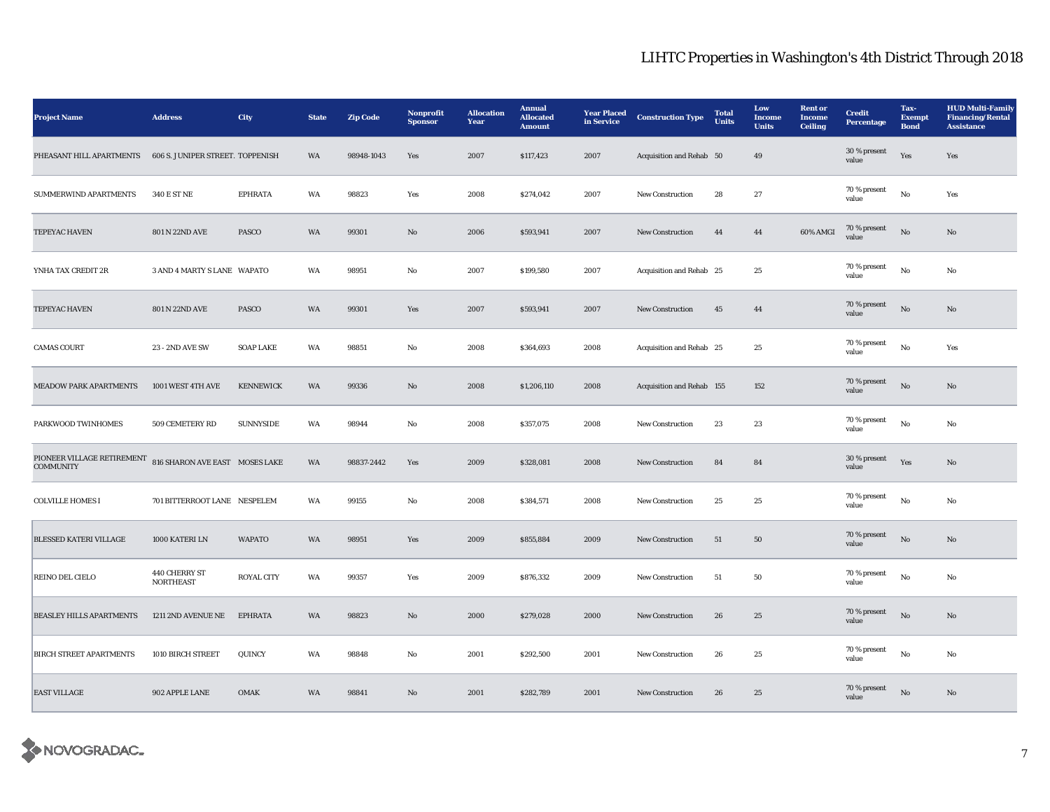| <b>Project Name</b>                            | <b>Address</b>                    | City              | <b>State</b> | <b>Zip Code</b> | Nonprofit<br><b>Sponsor</b> | <b>Allocation</b><br>Year | <b>Annual</b><br><b>Allocated</b><br><b>Amount</b> | <b>Year Placed</b><br>in Service | <b>Construction Type</b>  | <b>Total</b><br>Units | Low<br>Income<br><b>Units</b> | <b>Rent or</b><br><b>Income</b><br><b>Ceiling</b> | <b>Credit</b><br><b>Percentage</b> | Tax-<br><b>Exempt</b><br><b>Bond</b> | <b>HUD Multi-Family</b><br><b>Financing/Rental</b><br><b>Assistance</b> |
|------------------------------------------------|-----------------------------------|-------------------|--------------|-----------------|-----------------------------|---------------------------|----------------------------------------------------|----------------------------------|---------------------------|-----------------------|-------------------------------|---------------------------------------------------|------------------------------------|--------------------------------------|-------------------------------------------------------------------------|
| PHEASANT HILL APARTMENTS                       | 606 S. JUNIPER STREET. TOPPENISH  |                   | WA           | 98948-1043      | Yes                         | 2007                      | \$117,423                                          | 2007                             | Acquisition and Rehab 50  |                       | 49                            |                                                   | 30 % present<br>value              | Yes                                  | Yes                                                                     |
| SUMMERWIND APARTMENTS                          | 340 E ST NE                       | <b>EPHRATA</b>    | WA           | 98823           | Yes                         | 2008                      | \$274,042                                          | 2007                             | <b>New Construction</b>   | 28                    | 27                            |                                                   | 70 % present<br>value              | $\rm No$                             | Yes                                                                     |
| TEPEYAC HAVEN                                  | 801 N 22ND AVE                    | PASCO             | WA           | 99301           | No                          | 2006                      | \$593,941                                          | 2007                             | <b>New Construction</b>   | 44                    | 44                            | 60% AMGI                                          | 70 % present<br>value              | $\rm No$                             | No                                                                      |
| YNHA TAX CREDIT 2R                             | 3 AND 4 MARTY S LANE WAPATO       |                   | WA           | 98951           | No                          | 2007                      | \$199,580                                          | 2007                             | Acquisition and Rehab 25  |                       | $\bf 25$                      |                                                   | 70 % present<br>value              | $_{\rm No}$                          | No                                                                      |
| TEPEYAC HAVEN                                  | 801 N 22ND AVE                    | PASCO             | WA           | 99301           | Yes                         | 2007                      | \$593,941                                          | 2007                             | New Construction          | 45                    | 44                            |                                                   | 70 % present<br>value              | $_{\rm No}$                          | No                                                                      |
| <b>CAMAS COURT</b>                             | 23 - 2ND AVE SW                   | <b>SOAP LAKE</b>  | WA           | 98851           | No                          | 2008                      | \$364,693                                          | 2008                             | Acquisition and Rehab 25  |                       | 25                            |                                                   | 70 % present<br>value              | $\rm No$                             | Yes                                                                     |
| MEADOW PARK APARTMENTS                         | 1001 WEST 4TH AVE                 | <b>KENNEWICK</b>  | WA           | 99336           | No                          | 2008                      | \$1,206,110                                        | 2008                             | Acquisition and Rehab 155 |                       | 152                           |                                                   | 70 % present<br>value              | $\mathbf{N}\mathbf{o}$               | No                                                                      |
| PARKWOOD TWINHOMES                             | 509 CEMETERY RD                   | <b>SUNNYSIDE</b>  | WA           | 98944           | No                          | 2008                      | \$357,075                                          | 2008                             | New Construction          | 23                    | $\bf 23$                      |                                                   | 70 % present<br>value              | $\rm\thinspace No$                   | No                                                                      |
| PIONEER VILLAGE RETIREMENT<br><b>COMMUNITY</b> | 816 SHARON AVE EAST MOSES LAKE    |                   | WA           | 98837-2442      | Yes                         | 2009                      | \$328,081                                          | 2008                             | <b>New Construction</b>   | 84                    | 84                            |                                                   | 30 % present<br>value              | Yes                                  | No                                                                      |
| <b>COLVILLE HOMES I</b>                        | 701 BITTERROOT LANE NESPELEM      |                   | WA           | 99155           | No                          | 2008                      | \$384,571                                          | 2008                             | <b>New Construction</b>   | 25                    | 25                            |                                                   | 70 % present<br>value              | No                                   | No                                                                      |
| <b>BLESSED KATERI VILLAGE</b>                  | 1000 KATERI LN                    | <b>WAPATO</b>     | WA           | 98951           | Yes                         | 2009                      | \$855,884                                          | 2009                             | <b>New Construction</b>   | 51                    | 50                            |                                                   | 70 % present<br>value              | $\mathbf{N}\mathbf{o}$               | No                                                                      |
| REINO DEL CIELO                                | 440 CHERRY ST<br><b>NORTHEAST</b> | <b>ROYAL CITY</b> | WA           | 99357           | Yes                         | 2009                      | \$876,332                                          | 2009                             | New Construction          | $51\,$                | $50\,$                        |                                                   | 70 % present<br>value              | $\rm No$                             | No                                                                      |
| <b>BEASLEY HILLS APARTMENTS</b>                | 1211 2ND AVENUE NE                | <b>EPHRATA</b>    | WA           | 98823           | $\mathbf{N}\mathbf{o}$      | 2000                      | \$279,028                                          | 2000                             | New Construction          | 26                    | 25                            |                                                   | $70\,\%$ present<br>value          | $\rm No$                             | No                                                                      |
| <b>BIRCH STREET APARTMENTS</b>                 | 1010 BIRCH STREET                 | QUINCY            | WA           | 98848           | No                          | 2001                      | \$292,500                                          | 2001                             | <b>New Construction</b>   | 26                    | 25                            |                                                   | 70 % present<br>value              | $\rm No$                             | No                                                                      |
| <b>EAST VILLAGE</b>                            | 902 APPLE LANE                    | <b>OMAK</b>       | WA           | 98841           | No                          | 2001                      | \$282,789                                          | 2001                             | <b>New Construction</b>   | 26                    | 25                            |                                                   | 70 % present<br>value              | No                                   | No                                                                      |

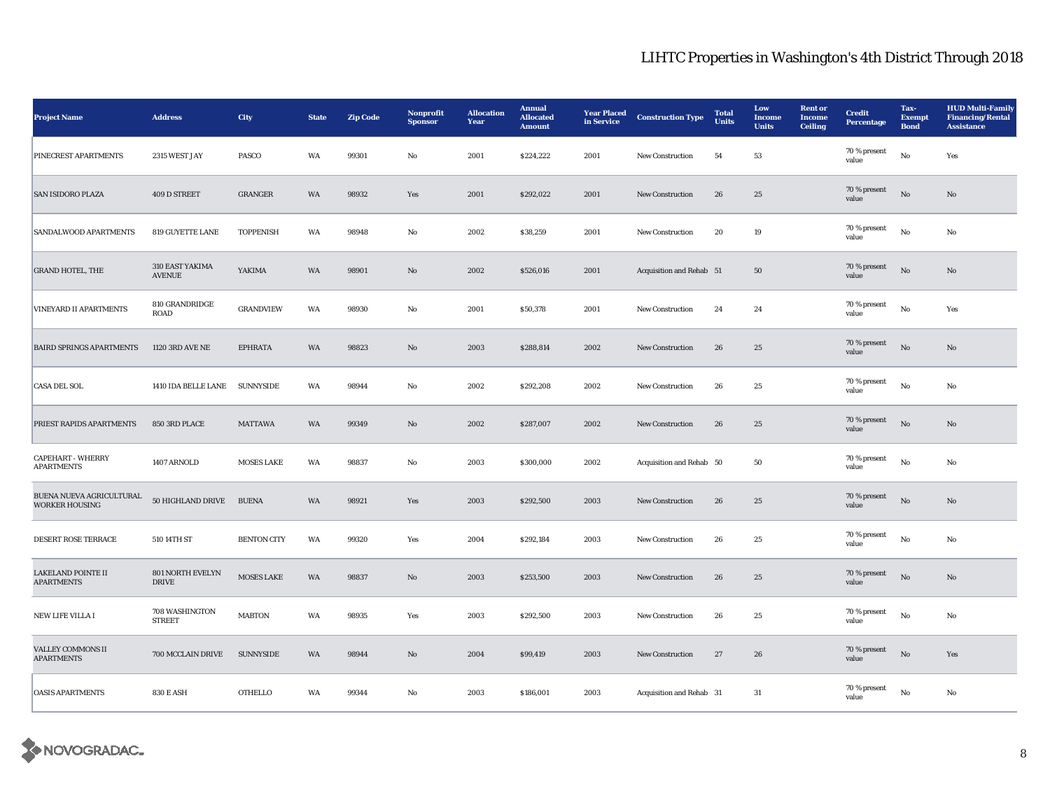| <b>Project Name</b>                               | <b>Address</b>                   | <b>City</b>        | <b>State</b> | <b>Zip Code</b> | Nonprofit<br><b>Sponsor</b> | <b>Allocation</b><br>Year | <b>Annual</b><br><b>Allocated</b><br><b>Amount</b> | <b>Year Placed</b><br>in Service | <b>Construction Type</b> | <b>Total</b><br><b>Units</b> | Low<br>Income<br><b>Units</b> | <b>Rent</b> or<br><b>Income</b><br><b>Ceiling</b> | <b>Credit</b><br><b>Percentage</b> | Tax-<br><b>Exempt</b><br><b>Bond</b> | <b>HUD Multi-Family</b><br><b>Financing/Rental</b><br><b>Assistance</b> |
|---------------------------------------------------|----------------------------------|--------------------|--------------|-----------------|-----------------------------|---------------------------|----------------------------------------------------|----------------------------------|--------------------------|------------------------------|-------------------------------|---------------------------------------------------|------------------------------------|--------------------------------------|-------------------------------------------------------------------------|
| PINECREST APARTMENTS                              | 2315 WEST JAY                    | PASCO              | WA           | 99301           | No                          | 2001                      | \$224,222                                          | 2001                             | New Construction         | 54                           | 53                            |                                                   | 70 % present<br>value              | $\mathbf{No}$                        | Yes                                                                     |
| <b>SAN ISIDORO PLAZA</b>                          | 409 D STREET                     | <b>GRANGER</b>     | WA           | 98932           | Yes                         | 2001                      | \$292,022                                          | 2001                             | <b>New Construction</b>  | 26                           | 25                            |                                                   | 70 % present<br>value              | $_{\rm No}$                          | No                                                                      |
| SANDALWOOD APARTMENTS                             | 819 GUYETTE LANE                 | <b>TOPPENISH</b>   | WA           | 98948           | No                          | 2002                      | \$38,259                                           | 2001                             | <b>New Construction</b>  | 20                           | 19                            |                                                   | 70 % present<br>value              | $\rm No$                             | No                                                                      |
| <b>GRAND HOTEL, THE</b>                           | 310 EAST YAKIMA<br><b>AVENUE</b> | YAKIMA             | WA           | 98901           | $\rm \bf No$                | 2002                      | \$526,016                                          | 2001                             | Acquisition and Rehab 51 |                              | ${\bf 50}$                    |                                                   | 70 % present<br>value              | $_{\rm No}$                          | No                                                                      |
| <b>VINEYARD II APARTMENTS</b>                     | 810 GRANDRIDGE<br><b>ROAD</b>    | <b>GRANDVIEW</b>   | WA           | 98930           | $\rm No$                    | 2001                      | \$50,378                                           | 2001                             | New Construction         | 24                           | 24                            |                                                   | 70 % present<br>value              | $\rm\, No$                           | Yes                                                                     |
| <b>BAIRD SPRINGS APARTMENTS</b>                   | 1120 3RD AVE NE                  | <b>EPHRATA</b>     | WA           | 98823           | No                          | 2003                      | \$288,814                                          | 2002                             | <b>New Construction</b>  | 26                           | $25\,$                        |                                                   | 70 % present<br>value              | $\rm No$                             | No                                                                      |
| <b>CASA DEL SOL</b>                               | 1410 IDA BELLE LANE SUNNYSIDE    |                    | WA           | 98944           | No                          | 2002                      | \$292,208                                          | 2002                             | <b>New Construction</b>  | 26                           | 25                            |                                                   | 70 % present<br>value              | $\rm No$                             | No                                                                      |
| PRIEST RAPIDS APARTMENTS                          | 850 3RD PLACE                    | <b>MATTAWA</b>     | WA           | 99349           | No                          | 2002                      | \$287,007                                          | 2002                             | <b>New Construction</b>  | 26                           | 25                            |                                                   | 70 % present<br>value              | $\mathbf{N}\mathbf{o}$               | No                                                                      |
| <b>CAPEHART - WHERRY</b><br><b>APARTMENTS</b>     | 1407 ARNOLD                      | <b>MOSES LAKE</b>  | WA           | 98837           | No                          | 2003                      | \$300,000                                          | 2002                             | Acquisition and Rehab 50 |                              | 50                            |                                                   | 70 % present<br>value              | $\rm No$                             | No                                                                      |
| BUENA NUEVA AGRICULTURAL<br><b>WORKER HOUSING</b> | 50 HIGHLAND DRIVE                | <b>BUENA</b>       | WA           | 98921           | Yes                         | 2003                      | \$292,500                                          | 2003                             | New Construction         | ${\bf 26}$                   | $25\,$                        |                                                   | 70 % present<br>value              | $\rm No$                             | No                                                                      |
| DESERT ROSE TERRACE                               | 510 14TH ST                      | <b>BENTON CITY</b> | WA           | 99320           | Yes                         | 2004                      | \$292,184                                          | 2003                             | New Construction         | 26                           | $\bf 25$                      |                                                   | 70 % present<br>value              | $\rm\thinspace No$                   | No                                                                      |
| <b>LAKELAND POINTE II</b><br><b>APARTMENTS</b>    | 801 NORTH EVELYN<br><b>DRIVE</b> | <b>MOSES LAKE</b>  | WA           | 98837           | $\mathbf{N}\mathbf{o}$      | 2003                      | \$253,500                                          | 2003                             | <b>New Construction</b>  | 26                           | 25                            |                                                   | 70 % present<br>value              | $_{\rm No}$                          | No                                                                      |
| <b>NEW LIFE VILLA I</b>                           | 708 WASHINGTON<br><b>STREET</b>  | <b>MABTON</b>      | WA           | 98935           | Yes                         | 2003                      | \$292,500                                          | 2003                             | <b>New Construction</b>  | 26                           | 25                            |                                                   | 70 % present<br>value              | No                                   | No                                                                      |
| VALLEY COMMONS II<br><b>APARTMENTS</b>            | 700 MCCLAIN DRIVE                | <b>SUNNYSIDE</b>   | WA           | 98944           | $\mathbf{N}\mathbf{o}$      | 2004                      | \$99,419                                           | 2003                             | New Construction         | 27                           | 26                            |                                                   | 70 % present<br>value              | $\rm No$                             | Yes                                                                     |
| <b>OASIS APARTMENTS</b>                           | <b>830 E ASH</b>                 | <b>OTHELLO</b>     | WA           | 99344           | No                          | 2003                      | \$186,001                                          | 2003                             | Acquisition and Rehab 31 |                              | 31                            |                                                   | 70 % present<br>value              | No                                   | No                                                                      |

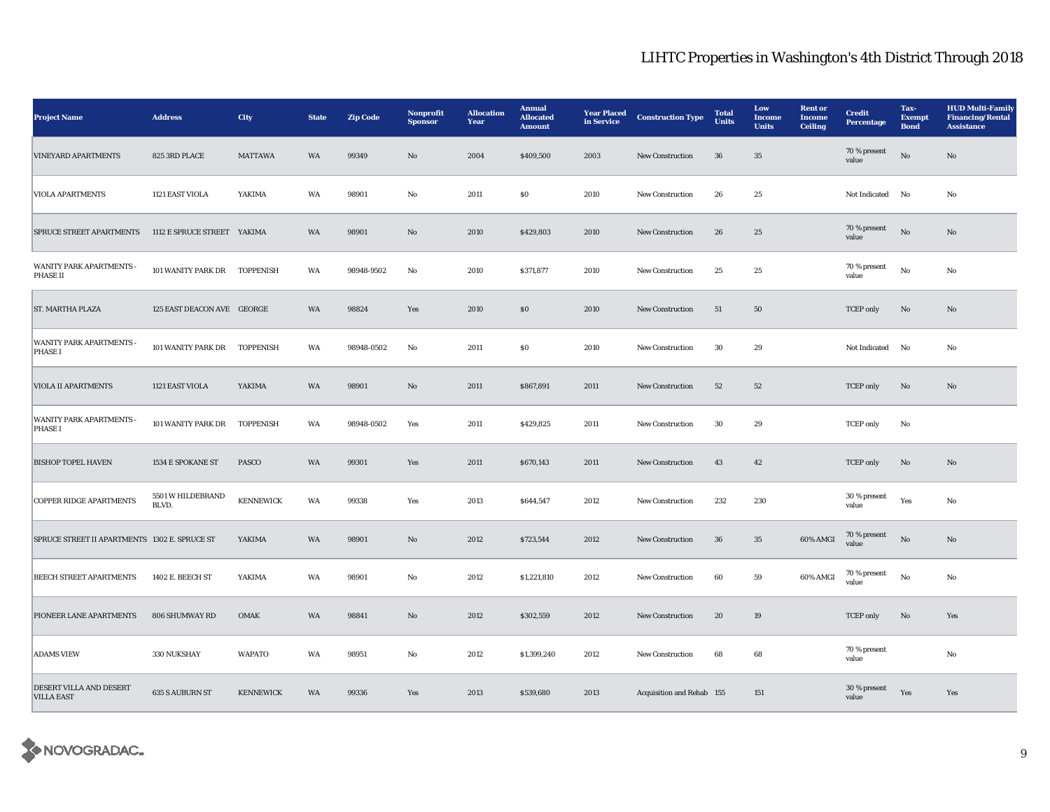| <b>Project Name</b>                             | <b>Address</b>               | <b>City</b>      | <b>State</b> | <b>Zip Code</b> | Nonprofit<br><b>Sponsor</b> | <b>Allocation</b><br>Year | <b>Annual</b><br><b>Allocated</b><br><b>Amount</b> | <b>Year Placed</b><br>in Service | <b>Construction Type</b>  | <b>Total</b><br>Units | Low<br>Income<br><b>Units</b> | <b>Rent or</b><br>Income<br><b>Ceiling</b> | <b>Credit</b><br><b>Percentage</b> | Tax-<br><b>Exempt</b><br><b>Bond</b> | <b>HUD Multi-Family</b><br><b>Financing/Rental</b><br><b>Assistance</b> |
|-------------------------------------------------|------------------------------|------------------|--------------|-----------------|-----------------------------|---------------------------|----------------------------------------------------|----------------------------------|---------------------------|-----------------------|-------------------------------|--------------------------------------------|------------------------------------|--------------------------------------|-------------------------------------------------------------------------|
| <b>VINEYARD APARTMENTS</b>                      | 825 3RD PLACE                | <b>MATTAWA</b>   | WA           | 99349           | No                          | 2004                      | \$409,500                                          | 2003                             | New Construction          | 36                    | $35\,$                        |                                            | 70 % present<br>value              | $\rm \bf No$                         | No                                                                      |
| <b>VIOLA APARTMENTS</b>                         | 1121 EAST VIOLA              | YAKIMA           | WA           | 98901           | No                          | 2011                      | <b>SO</b>                                          | 2010                             | <b>New Construction</b>   | 26                    | 25                            |                                            | Not Indicated                      | No                                   | No                                                                      |
| <b>SPRUCE STREET APARTMENTS</b>                 | 1112 E SPRUCE STREET YAKIMA  |                  | WA           | 98901           | No                          | 2010                      | \$429,803                                          | 2010                             | <b>New Construction</b>   | 26                    | 25                            |                                            | 70 % present<br>value              | $\mathbf{N}\mathbf{o}$               | No                                                                      |
| WANITY PARK APARTMENTS -<br><b>PHASE II</b>     | 101 WANITY PARK DR TOPPENISH |                  | WA           | 98948-9502      | No                          | 2010                      | \$371,877                                          | 2010                             | New Construction          | 25                    | 25                            |                                            | 70 % present<br>value              | $_{\rm No}$                          | No                                                                      |
| ST. MARTHA PLAZA                                | 125 EAST DEACON AVE GEORGE   |                  | WA           | 98824           | Yes                         | 2010                      | \$0\$                                              | 2010                             | New Construction          | 51                    | ${\bf 50}$                    |                                            | <b>TCEP</b> only                   | $\mathbf{No}$                        | $\mathbf{N}\mathbf{o}$                                                  |
| <b>WANITY PARK APARTMENTS</b><br>PHASE I        | 101 WANITY PARK DR TOPPENISH |                  | WA           | 98948-0502      | No                          | 2011                      | $\$0$                                              | 2010                             | <b>New Construction</b>   | 30                    | 29                            |                                            | <b>Not Indicated</b>               | No                                   | No                                                                      |
| <b>VIOLA II APARTMENTS</b>                      | 1121 EAST VIOLA              | YAKIMA           | WA           | 98901           | No                          | 2011                      | \$867,891                                          | 2011                             | <b>New Construction</b>   | 52                    | 52                            |                                            | <b>TCEP</b> only                   | $\mathbf{N}\mathbf{o}$               | No                                                                      |
| <b>WANITY PARK APARTMENTS</b><br><b>PHASE I</b> | 101 WANITY PARK DR           | <b>TOPPENISH</b> | WA           | 98948-0502      | Yes                         | 2011                      | \$429,825                                          | 2011                             | <b>New Construction</b>   | 30                    | 29                            |                                            | <b>TCEP</b> only                   | No                                   |                                                                         |
| <b>BISHOP TOPEL HAVEN</b>                       | 1534 E SPOKANE ST            | <b>PASCO</b>     | WA           | 99301           | Yes                         | 2011                      | \$670,143                                          | 2011                             | <b>New Construction</b>   | 43                    | 42                            |                                            | <b>TCEP</b> only                   | $\mathbf{N}\mathbf{o}$               | No                                                                      |
| <b>COPPER RIDGE APARTMENTS</b>                  | 5501 W HILDEBRAND<br>BLVD.   | <b>KENNEWICK</b> | WA           | 99338           | Yes                         | 2013                      | \$644,547                                          | 2012                             | New Construction          | 232                   | 230                           |                                            | 30 % present<br>value              | Yes                                  | No                                                                      |
| SPRUCE STREET II APARTMENTS 1302 E. SPRUCE ST   |                              | YAKIMA           | WA           | 98901           | No                          | 2012                      | \$723,544                                          | 2012                             | New Construction          | ${\bf 36}$            | $35\,$                        | 60% AMGI                                   | 70 % present<br>value              | $\rm \bf No$                         | No                                                                      |
| <b>BEECH STREET APARTMENTS</b>                  | 1402 E. BEECH ST             | YAKIMA           | WA           | 98901           | No                          | 2012                      | \$1,221,810                                        | 2012                             | <b>New Construction</b>   | 60                    | 59                            | 60% AMGI                                   | 70 % present<br>value              | $_{\rm No}$                          | No                                                                      |
| PIONEER LANE APARTMENTS                         | 806 SHUMWAY RD               | OMAK             | WA           | 98841           | No                          | 2012                      | \$302,559                                          | 2012                             | <b>New Construction</b>   | 20                    | 19                            |                                            | TCEP only                          | $\mathbf{N}\mathbf{o}$               | Yes                                                                     |
| <b>ADAMS VIEW</b>                               | 330 NUKSHAY                  | <b>WAPATO</b>    | WA           | 98951           | No                          | 2012                      | \$1,399,240                                        | 2012                             | <b>New Construction</b>   | 68                    | 68                            |                                            | 70 % present<br>value              |                                      | No                                                                      |
| DESERT VILLA AND DESERT<br><b>VILLA EAST</b>    | <b>635 S AUBURN ST</b>       | <b>KENNEWICK</b> | <b>WA</b>    | 99336           | Yes                         | 2013                      | \$539,680                                          | 2013                             | Acquisition and Rehab 155 |                       | 151                           |                                            | 30 % present<br>value              | Yes                                  | Yes                                                                     |

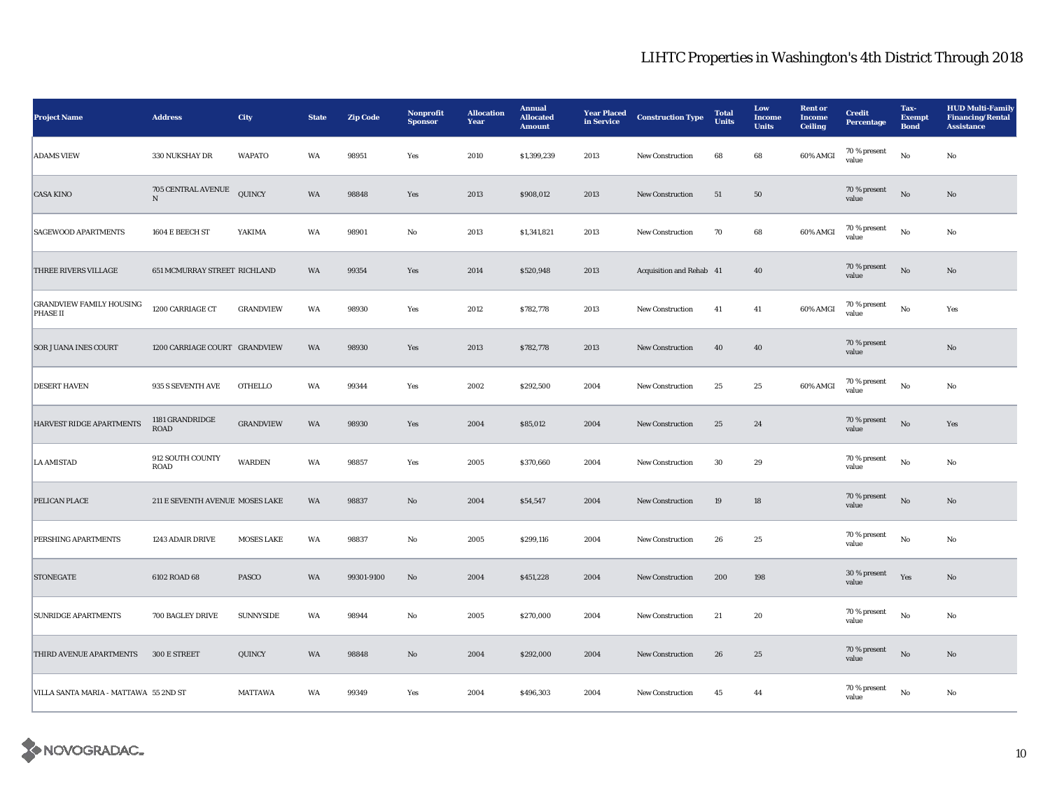| <b>Project Name</b>                         | <b>Address</b>                  | City              | <b>State</b> | <b>Zip Code</b> | Nonprofit<br><b>Sponsor</b> | <b>Allocation</b><br>Year | <b>Annual</b><br><b>Allocated</b><br><b>Amount</b> | <b>Year Placed</b><br>in Service | <b>Construction Type</b> | <b>Total</b><br><b>Units</b> | Low<br><b>Income</b><br><b>Units</b> | <b>Rent or</b><br>Income<br><b>Ceiling</b> | <b>Credit</b><br><b>Percentage</b> | Tax-<br><b>Exempt</b><br><b>Bond</b> | <b>HUD Multi-Family</b><br><b>Financing/Rental</b><br><b>Assistance</b> |
|---------------------------------------------|---------------------------------|-------------------|--------------|-----------------|-----------------------------|---------------------------|----------------------------------------------------|----------------------------------|--------------------------|------------------------------|--------------------------------------|--------------------------------------------|------------------------------------|--------------------------------------|-------------------------------------------------------------------------|
| <b>ADAMS VIEW</b>                           | 330 NUKSHAY DR                  | <b>WAPATO</b>     | WA           | 98951           | Yes                         | 2010                      | \$1,399,239                                        | 2013                             | <b>New Construction</b>  | 68                           | 68                                   | 60% AMGI                                   | 70 % present<br>value              | No                                   | $\mathbf{No}$                                                           |
| <b>CASA KINO</b>                            | 705 CENTRAL AVENUE<br>${\bf N}$ | QUINCY            | WA           | 98848           | Yes                         | 2013                      | \$908,012                                          | 2013                             | <b>New Construction</b>  | 51                           | 50                                   |                                            | 70 % present<br>value              | $\rm \bf No$                         | No                                                                      |
| <b>SAGEWOOD APARTMENTS</b>                  | 1604 E BEECH ST                 | YAKIMA            | WA           | 98901           | No                          | 2013                      | \$1,341,821                                        | 2013                             | <b>New Construction</b>  | 70                           | 68                                   | 60% AMGI                                   | 70 % present<br>value              | No                                   | No                                                                      |
| THREE RIVERS VILLAGE                        | 651 MCMURRAY STREET RICHLAND    |                   | WA           | 99354           | Yes                         | 2014                      | \$520,948                                          | 2013                             | Acquisition and Rehab 41 |                              | 40                                   |                                            | 70 % present<br>value              | $\rm \bf No$                         | No                                                                      |
| <b>GRANDVIEW FAMILY HOUSING</b><br>PHASE II | 1200 CARRIAGE CT                | <b>GRANDVIEW</b>  | WA           | 98930           | Yes                         | 2012                      | \$782,778                                          | 2013                             | New Construction         | 41                           | 41                                   | 60% AMGI                                   | 70 % present<br>value              | $_{\rm No}$                          | Yes                                                                     |
| <b>SOR JUANA INES COURT</b>                 | 1200 CARRIAGE COURT GRANDVIEW   |                   | WA           | 98930           | Yes                         | 2013                      | \$782,778                                          | 2013                             | <b>New Construction</b>  | 40                           | 40                                   |                                            | 70 % present<br>value              |                                      | No                                                                      |
| <b>DESERT HAVEN</b>                         | 935 S SEVENTH AVE               | <b>OTHELLO</b>    | WA           | 99344           | Yes                         | 2002                      | \$292,500                                          | 2004                             | New Construction         | $25\,$                       | $\bf 25$                             | 60% AMGI                                   | 70 % present<br>value              | $_{\rm No}$                          | No                                                                      |
| HARVEST RIDGE APARTMENTS                    | 1181 GRANDRIDGE<br><b>ROAD</b>  | <b>GRANDVIEW</b>  | WA           | 98930           | Yes                         | 2004                      | \$85,012                                           | 2004                             | New Construction         | 25                           | 24                                   |                                            | 70 % present<br>value              | $\rm No$                             | Yes                                                                     |
| <b>LA AMISTAD</b>                           | 912 SOUTH COUNTY<br>ROAD        | <b>WARDEN</b>     | WA           | 98857           | Yes                         | 2005                      | \$370,660                                          | 2004                             | New Construction         | $30\,$                       | $\boldsymbol{29}$                    |                                            | 70 % present<br>value              | $_{\rm No}$                          | No                                                                      |
| PELICAN PLACE                               | 211 E SEVENTH AVENUE MOSES LAKE |                   | WA           | 98837           | No                          | 2004                      | \$54,547                                           | 2004                             | New Construction         | $19\,$                       | 18                                   |                                            | 70 % present<br>value              | No                                   | No                                                                      |
| PERSHING APARTMENTS                         | 1243 ADAIR DRIVE                | <b>MOSES LAKE</b> | WA           | 98837           | No                          | 2005                      | \$299,116                                          | 2004                             | New Construction         | 26                           | 25                                   |                                            | 70 % present<br>value              | $_{\rm No}$                          | No                                                                      |
| <b>STONEGATE</b>                            | 6102 ROAD 68                    | <b>PASCO</b>      | WA           | 99301-9100      | No                          | 2004                      | \$451,228                                          | 2004                             | <b>New Construction</b>  | 200                          | 198                                  |                                            | 30 % present<br>value              | Yes                                  | No                                                                      |
| <b>SUNRIDGE APARTMENTS</b>                  | 700 BAGLEY DRIVE                | <b>SUNNYSIDE</b>  | WA           | 98944           | No                          | 2005                      | \$270,000                                          | 2004                             | <b>New Construction</b>  | 21                           | 20                                   |                                            | 70 % present<br>value              | No                                   | No                                                                      |
| THIRD AVENUE APARTMENTS                     | 300 E STREET                    | QUINCY            | WA           | 98848           | $\mathbf{No}$               | 2004                      | \$292,000                                          | 2004                             | <b>New Construction</b>  | 26                           | 25                                   |                                            | 70 % present<br>value              | $\rm \bf No$                         | No                                                                      |
| VILLA SANTA MARIA - MATTAWA 55 2ND ST       |                                 | <b>MATTAWA</b>    | WA           | 99349           | Yes                         | 2004                      | \$496,303                                          | 2004                             | New Construction         | 45                           | 44                                   |                                            | 70 % present<br>value              | No                                   | No                                                                      |

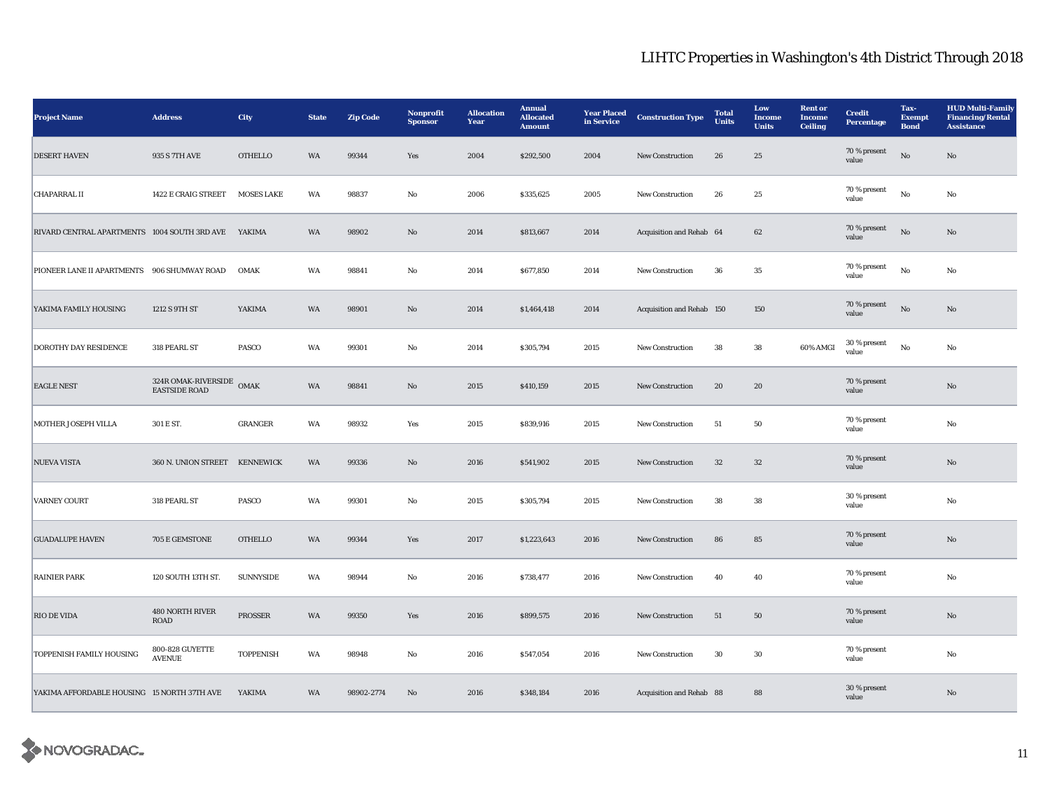| <b>Project Name</b>                                 | <b>Address</b>                              | City              | <b>State</b> | <b>Zip Code</b> | Nonprofit<br><b>Sponsor</b> | <b>Allocation</b><br>Year | <b>Annual</b><br><b>Allocated</b><br><b>Amount</b> | <b>Year Placed</b><br>in Service | <b>Construction Type</b>  | <b>Total</b><br><b>Units</b> | Low<br><b>Income</b><br><b>Units</b> | <b>Rent or</b><br><b>Income</b><br><b>Ceiling</b> | <b>Credit</b><br><b>Percentage</b> | Tax-<br><b>Exempt</b><br><b>Bond</b> | <b>HUD Multi-Family</b><br><b>Financing/Rental</b><br><b>Assistance</b> |
|-----------------------------------------------------|---------------------------------------------|-------------------|--------------|-----------------|-----------------------------|---------------------------|----------------------------------------------------|----------------------------------|---------------------------|------------------------------|--------------------------------------|---------------------------------------------------|------------------------------------|--------------------------------------|-------------------------------------------------------------------------|
| <b>DESERT HAVEN</b>                                 | 935 S 7TH AVE                               | <b>OTHELLO</b>    | WA           | 99344           | Yes                         | 2004                      | \$292,500                                          | 2004                             | New Construction          | 26                           | 25                                   |                                                   | 70 % present<br>value              | $_{\rm No}$                          | $\rm No$                                                                |
| <b>CHAPARRAL II</b>                                 | 1422 E CRAIG STREET                         | <b>MOSES LAKE</b> | WA           | 98837           | No                          | 2006                      | \$335,625                                          | 2005                             | <b>New Construction</b>   | 26                           | 25                                   |                                                   | $70\,\%$ present<br>value          | No                                   | No                                                                      |
| RIVARD CENTRAL APARTMENTS 1004 SOUTH 3RD AVE YAKIMA |                                             |                   | <b>WA</b>    | 98902           | $\mathbf{N}\mathbf{o}$      | 2014                      | \$813,667                                          | 2014                             | Acquisition and Rehab 64  |                              | 62                                   |                                                   | 70 % present<br>value              | No                                   | No                                                                      |
| PIONEER LANE II APARTMENTS 906 SHUMWAY ROAD         |                                             | <b>OMAK</b>       | WA           | 98841           | No                          | 2014                      | \$677,850                                          | 2014                             | New Construction          | 36                           | 35                                   |                                                   | 70 % present<br>value              | No                                   | No                                                                      |
| YAKIMA FAMILY HOUSING                               | 1212 S 9TH ST                               | YAKIMA            | WA           | 98901           | No                          | 2014                      | \$1,464,418                                        | 2014                             | Acquisition and Rehab 150 |                              | 150                                  |                                                   | 70 % present<br>value              | $_{\rm No}$                          | No                                                                      |
| DOROTHY DAY RESIDENCE                               | 318 PEARL ST                                | PASCO             | WA           | 99301           | No                          | 2014                      | \$305,794                                          | 2015                             | New Construction          | 38                           | ${\bf 38}$                           | 60% AMGI                                          | $30\,\%$ present<br>value          | $_{\rm No}$                          | No                                                                      |
| <b>EAGLE NEST</b>                                   | 324R OMAK-RIVERSIDE<br><b>EASTSIDE ROAD</b> | OMAK              | WA           | 98841           | No                          | 2015                      | \$410,159                                          | 2015                             | <b>New Construction</b>   | 20                           | 20                                   |                                                   | 70 % present<br>value              |                                      | No                                                                      |
| MOTHER JOSEPH VILLA                                 | 301 E ST.                                   | <b>GRANGER</b>    | WA           | 98932           | Yes                         | 2015                      | \$839,916                                          | 2015                             | New Construction          | 51                           | 50                                   |                                                   | 70 % present<br>value              |                                      | $_{\rm No}$                                                             |
| <b>NUEVA VISTA</b>                                  | 360 N. UNION STREET KENNEWICK               |                   | WA           | 99336           | $\rm No$                    | 2016                      | \$541,902                                          | 2015                             | New Construction          | $32\,$                       | $32\,$                               |                                                   | 70 % present<br>value              |                                      | $\rm No$                                                                |
| <b>VARNEY COURT</b>                                 | 318 PEARL ST                                | PASCO             | WA           | 99301           | No                          | 2015                      | \$305,794                                          | 2015                             | New Construction          | 38                           | 38                                   |                                                   | 30 % present<br>value              |                                      | No                                                                      |
| <b>GUADALUPE HAVEN</b>                              | 705 E GEMSTONE                              | <b>OTHELLO</b>    | WA           | 99344           | Yes                         | 2017                      | \$1,223,643                                        | 2016                             | <b>New Construction</b>   | 86                           | 85                                   |                                                   | 70 % present<br>value              |                                      | No                                                                      |
| <b>RAINIER PARK</b>                                 | 120 SOUTH 13TH ST.                          | <b>SUNNYSIDE</b>  | WA           | 98944           | No                          | 2016                      | \$738,477                                          | 2016                             | New Construction          | 40                           | 40                                   |                                                   | 70 % present<br>value              |                                      | No                                                                      |
| <b>RIO DE VIDA</b>                                  | <b>480 NORTH RIVER</b><br><b>ROAD</b>       | PROSSER           | WA           | 99350           | Yes                         | 2016                      | \$899,575                                          | 2016                             | New Construction          | 51                           | 50                                   |                                                   | 70 % present<br>value              |                                      | $\mathbf{No}$                                                           |
| TOPPENISH FAMILY HOUSING                            | 800-828 GUYETTE<br><b>AVENUE</b>            | <b>TOPPENISH</b>  | WA           | 98948           | No                          | 2016                      | \$547,054                                          | 2016                             | <b>New Construction</b>   | 30                           | 30                                   |                                                   | 70 % present<br>value              |                                      | No                                                                      |
| YAKIMA AFFORDABLE HOUSING 15 NORTH 37TH AVE         |                                             | YAKIMA            | WA           | 98902-2774      | No                          | 2016                      | \$348,184                                          | 2016                             | Acquisition and Rehab 88  |                              | 88                                   |                                                   | 30 % present<br>value              |                                      | No                                                                      |